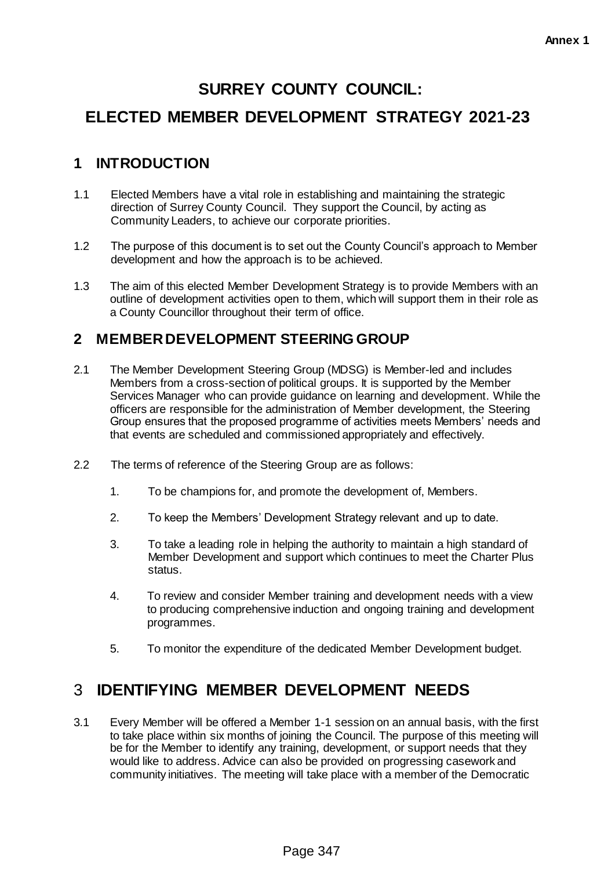# **SURREY COUNTY COUNCIL:**

# **ELECTED MEMBER DEVELOPMENT STRATEGY 2021-23**

## **1 INTRODUCTION**

- 1.1 Elected Members have a vital role in establishing and maintaining the strategic direction of Surrey County Council. They support the Council, by acting as Community Leaders, to achieve our corporate priorities.
- 1.2 The purpose of this document is to set out the County Council's approach to Member development and how the approach is to be achieved.
- 1.3 The aim of this elected Member Development Strategy is to provide Members with an outline of development activities open to them, which will support them in their role as a County Councillor throughout their term of office.

## **2 MEMBER DEVELOPMENT STEERING GROUP**

- 2.1 The Member Development Steering Group (MDSG) is Member-led and includes Members from a cross-section of political groups. It is supported by the Member Services Manager who can provide guidance on learning and development. While the officers are responsible for the administration of Member development, the Steering Group ensures that the proposed programme of activities meets Members' needs and that events are scheduled and commissioned appropriately and effectively.
- 2.2 The terms of reference of the Steering Group are as follows:
	- 1. To be champions for, and promote the development of, Members.
	- 2. To keep the Members' Development Strategy relevant and up to date.
	- 3. To take a leading role in helping the authority to maintain a high standard of Member Development and support which continues to meet the Charter Plus status.
	- 4. To review and consider Member training and development needs with a view to producing comprehensive induction and ongoing training and development programmes.
	- 5. To monitor the expenditure of the dedicated Member Development budget.

## 3 **IDENTIFYING MEMBER DEVELOPMENT NEEDS**

3.1 Every Member will be offered a Member 1-1 session on an annual basis, with the first to take place within six months of joining the Council. The purpose of this meeting will be for the Member to identify any training, development, or support needs that they would like to address. Advice can also be provided on progressing casework and community initiatives. The meeting will take place with a member of the Democratic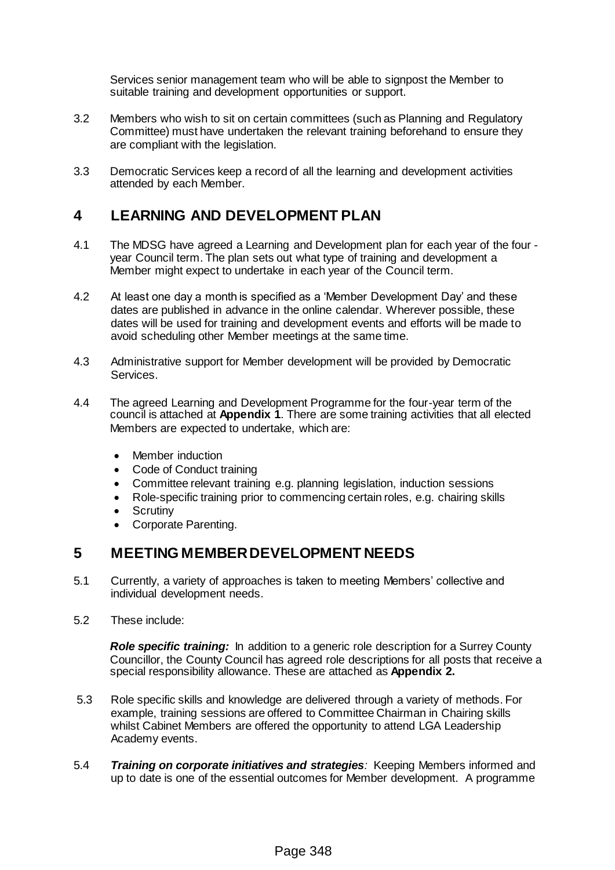Services senior management team who will be able to signpost the Member to suitable training and development opportunities or support.

- 3.2 Members who wish to sit on certain committees (such as Planning and Regulatory Committee) must have undertaken the relevant training beforehand to ensure they are compliant with the legislation.
- 3.3 Democratic Services keep a record of all the learning and development activities attended by each Member.

#### **4 LEARNING AND DEVELOPMENT PLAN**

- 4.1 The MDSG have agreed a Learning and Development plan for each year of the four year Council term. The plan sets out what type of training and development a Member might expect to undertake in each year of the Council term.
- 4.2 At least one day a month is specified as a 'Member Development Day' and these dates are published in advance in the online calendar. Wherever possible, these dates will be used for training and development events and efforts will be made to avoid scheduling other Member meetings at the same time.
- 4.3 Administrative support for Member development will be provided by Democratic Services.
- 4.4 The agreed Learning and Development Programme for the four-year term of the council is attached at **Appendix 1**. There are some training activities that all elected Members are expected to undertake, which are:
	- Member induction
	- Code of Conduct training
	- Committee relevant training e.g. planning legislation, induction sessions
	- Role-specific training prior to commencing certain roles, e.g. chairing skills
	- Scrutiny
	- Corporate Parenting.

#### **5 MEETING MEMBER DEVELOPMENT NEEDS**

- 5.1 Currently, a variety of approaches is taken to meeting Members' collective and individual development needs.
- 5.2 These include:

*Role specific training:*In addition to a generic role description for a Surrey County Councillor, the County Council has agreed role descriptions for all posts that receive a special responsibility allowance. These are attached as **Appendix 2.**

- 5.3 Role specific skills and knowledge are delivered through a variety of methods. For example, training sessions are offered to Committee Chairman in Chairing skills whilst Cabinet Members are offered the opportunity to attend LGA Leadership Academy events.
- 5.4 *Training on corporate initiatives and strategies:* Keeping Members informed and up to date is one of the essential outcomes for Member development. A programme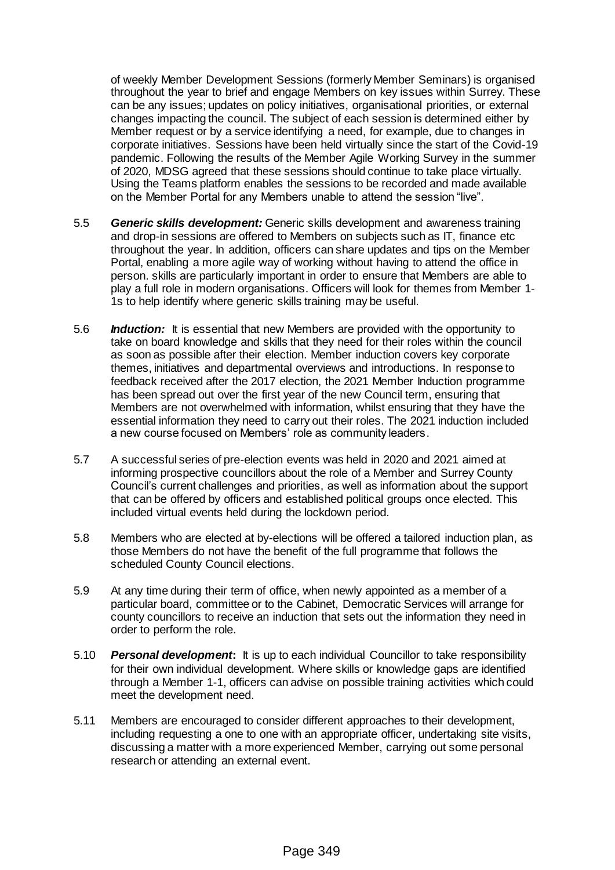of weekly Member Development Sessions (formerly Member Seminars) is organised throughout the year to brief and engage Members on key issues within Surrey. These can be any issues; updates on policy initiatives, organisational priorities, or external changes impacting the council. The subject of each session is determined either by Member request or by a service identifying a need, for example, due to changes in corporate initiatives. Sessions have been held virtually since the start of the Covid-19 pandemic. Following the results of the Member Agile Working Survey in the summer of 2020, MDSG agreed that these sessions should continue to take place virtually. Using the Teams platform enables the sessions to be recorded and made available on the Member Portal for any Members unable to attend the session "live".

- 5.5 *Generic skills development:* Generic skills development and awareness training and drop-in sessions are offered to Members on subjects such as IT, finance etc throughout the year. In addition, officers can share updates and tips on the Member Portal, enabling a more agile way of working without having to attend the office in person. skills are particularly important in order to ensure that Members are able to play a full role in modern organisations. Officers will look for themes from Member 1- 1s to help identify where generic skills training may be useful.
- 5.6 *Induction:*It is essential that new Members are provided with the opportunity to take on board knowledge and skills that they need for their roles within the council as soon as possible after their election. Member induction covers key corporate themes, initiatives and departmental overviews and introductions. In response to feedback received after the 2017 election, the 2021 Member Induction programme has been spread out over the first year of the new Council term, ensuring that Members are not overwhelmed with information, whilst ensuring that they have the essential information they need to carry out their roles. The 2021 induction included a new course focused on Members' role as community leaders.
- 5.7 A successful series of pre-election events was held in 2020 and 2021 aimed at informing prospective councillors about the role of a Member and Surrey County Council's current challenges and priorities, as well as information about the support that can be offered by officers and established political groups once elected. This included virtual events held during the lockdown period.
- 5.8 Members who are elected at by-elections will be offered a tailored induction plan, as those Members do not have the benefit of the full programme that follows the scheduled County Council elections.
- 5.9 At any time during their term of office, when newly appointed as a member of a particular board, committee or to the Cabinet, Democratic Services will arrange for county councillors to receive an induction that sets out the information they need in order to perform the role.
- 5.10 *Personal development***:** It is up to each individual Councillor to take responsibility for their own individual development. Where skills or knowledge gaps are identified through a Member 1-1, officers can advise on possible training activities which could meet the development need.
- 5.11 Members are encouraged to consider different approaches to their development, including requesting a one to one with an appropriate officer, undertaking site visits, discussing a matter with a more experienced Member, carrying out some personal research or attending an external event.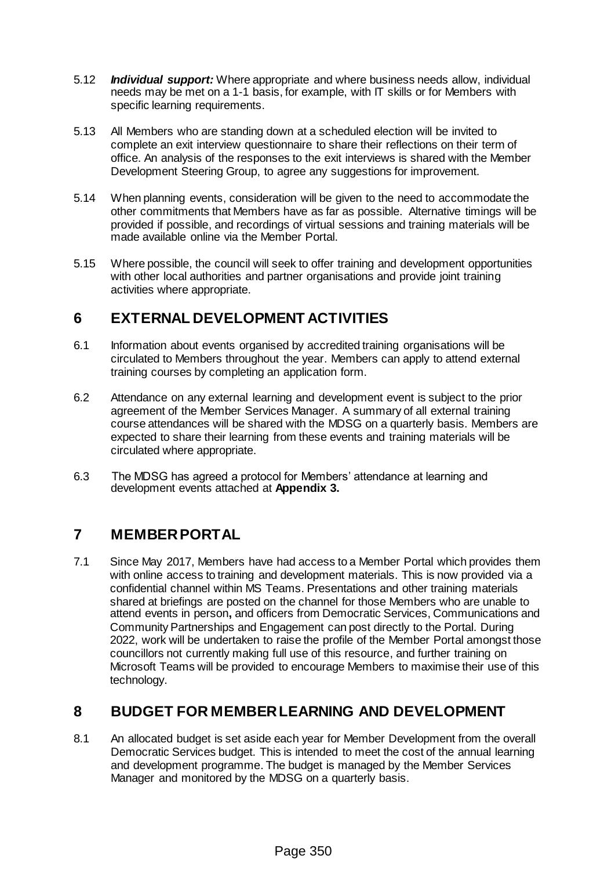- 5.12 *Individual support:* Where appropriate and where business needs allow, individual needs may be met on a 1-1 basis, for example, with IT skills or for Members with specific learning requirements.
- 5.13 All Members who are standing down at a scheduled election will be invited to complete an exit interview questionnaire to share their reflections on their term of office. An analysis of the responses to the exit interviews is shared with the Member Development Steering Group, to agree any suggestions for improvement.
- 5.14 When planning events, consideration will be given to the need to accommodate the other commitments that Members have as far as possible. Alternative timings will be provided if possible, and recordings of virtual sessions and training materials will be made available online via the Member Portal.
- 5.15 Where possible, the council will seek to offer training and development opportunities with other local authorities and partner organisations and provide joint training activities where appropriate.

## **6 EXTERNAL DEVELOPMENT ACTIVITIES**

- 6.1 Information about events organised by accredited training organisations will be circulated to Members throughout the year. Members can apply to attend external training courses by completing an application form.
- 6.2 Attendance on any external learning and development event is subject to the prior agreement of the Member Services Manager. A summary of all external training course attendances will be shared with the MDSG on a quarterly basis. Members are expected to share their learning from these events and training materials will be circulated where appropriate.
- 6.3 The MDSG has agreed a protocol for Members' attendance at learning and development events attached at **Appendix 3.**

## **7 MEMBER PORTAL**

7.1 Since May 2017, Members have had access to a Member Portal which provides them with online access to training and development materials. This is now provided via a confidential channel within MS Teams. Presentations and other training materials shared at briefings are posted on the channel for those Members who are unable to attend events in person**,** and officers from Democratic Services, Communications and Community Partnerships and Engagement can post directly to the Portal. During 2022, work will be undertaken to raise the profile of the Member Portal amongst those councillors not currently making full use of this resource, and further training on Microsoft Teams will be provided to encourage Members to maximise their use of this technology.

## **8 BUDGET FOR MEMBER LEARNING AND DEVELOPMENT**

8.1 An allocated budget is set aside each year for Member Development from the overall Democratic Services budget. This is intended to meet the cost of the annual learning and development programme. The budget is managed by the Member Services Manager and monitored by the MDSG on a quarterly basis.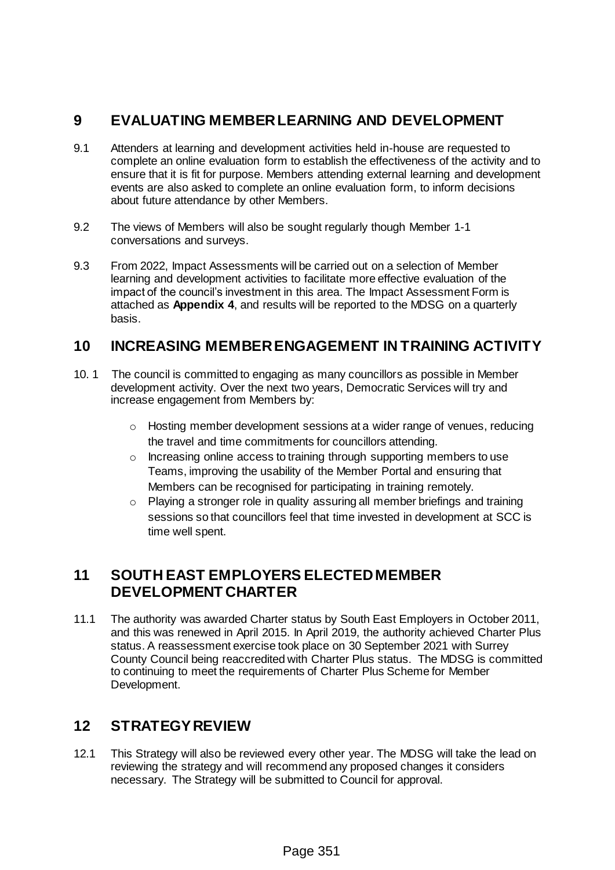## **9 EVALUATING MEMBER LEARNING AND DEVELOPMENT**

- 9.1 Attenders at learning and development activities held in-house are requested to complete an online evaluation form to establish the effectiveness of the activity and to ensure that it is fit for purpose. Members attending external learning and development events are also asked to complete an online evaluation form, to inform decisions about future attendance by other Members.
- 9.2 The views of Members will also be sought regularly though Member 1-1 conversations and surveys.
- 9.3 From 2022, Impact Assessments will be carried out on a selection of Member learning and development activities to facilitate more effective evaluation of the impact of the council's investment in this area. The Impact Assessment Form is attached as **Appendix 4**, and results will be reported to the MDSG on a quarterly basis.

#### **10 INCREASING MEMBER ENGAGEMENT IN TRAINING ACTIVITY**

- 10. 1 The council is committed to engaging as many councillors as possible in Member development activity. Over the next two years, Democratic Services will try and increase engagement from Members by:
	- $\circ$  Hosting member development sessions at a wider range of venues, reducing the travel and time commitments for councillors attending.
	- o Increasing online access to training through supporting members to use Teams, improving the usability of the Member Portal and ensuring that Members can be recognised for participating in training remotely.
	- o Playing a stronger role in quality assuring all member briefings and training sessions so that councillors feel that time invested in development at SCC is time well spent.

## **11 SOUTH EAST EMPLOYERS ELECTED MEMBER DEVELOPMENT CHARTER**

11.1 The authority was awarded Charter status by South East Employers in October 2011, and this was renewed in April 2015. In April 2019, the authority achieved Charter Plus status. A reassessment exercise took place on 30 September 2021 with Surrey County Council being reaccredited with Charter Plus status. The MDSG is committed to continuing to meet the requirements of Charter Plus Scheme for Member Development.

## **12 STRATEGY REVIEW**

12.1 This Strategy will also be reviewed every other year. The MDSG will take the lead on reviewing the strategy and will recommend any proposed changes it considers necessary. The Strategy will be submitted to Council for approval.